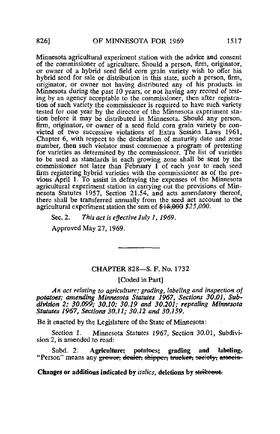Minnesota agricultural experiment station with the advice and consent of the commissioner of agriculture. Should a person, firm, originator, or owner of a hybrid seed field com grain variety wish to offer his hybrid seed for sale or distribution in this state, such a person, firm, originator, or owner not having distributed any of his products in Minnesota during the past 10 years, or not having any record of testing by an agency acceptable to the commissioner, then after registration of such variety the commissioner is required to have such variety tested for one year by the director of the Minnesota experiment station before it may be distributed in Minnesota. Should any person, firm, originator, or owner of a seed field corn grain variety be convicted of two successive violations of Extra Session Laws 1961, Chapter 6, with respect to the declaration of maturity date and zone number, then such violator must commence a program of pretesting for varieties as determined by the commissioner. The list of varieties to be used as standards in each growing zone shall be sent by the commissioner not later than February  $\tilde{I}$  of each year to each seed firm registering hybrid varieties with the commissioner as of the previous April 1. To assist in defraying the expenses of the Minnesota agricultural experiment station in carrying out the provisions of Minnesota Statutes 1957, Section 21.54, and acts amendatory thereof, there shall be transferred annually from the seed act account to the agricultural experiment station the sum of \$18,000 \$25,000.

Sec. 2. This act is effective July 1, 1969.

Approved May 27, 1969.

## CHAPTER 828—S. F. No. 1732

[Coded in Part]

An act relating to agriculture; grading, labeling and inspection of potatoes; amending Minnesota Statutes 1967, Sections 30.01, Subdivision 2; 30.099; 30.10; 30.19 and 30.201; repealing Minnesota Statutes 1967, Sections 30.11; 30.12 and 30.159.

Be it enacted by the Legislature of the State of Minnesota:

Section 1. Minnesota Statutes 1967, Section 30.01, Subdivision 2, is amended to read:

Subd. 2. Agriculture; potatoes; grading and labeling. "Person" means any grower, dealer, shipper, trucker, society, associa-

Changes or additions indicated by *italics*, deletions by strikeout.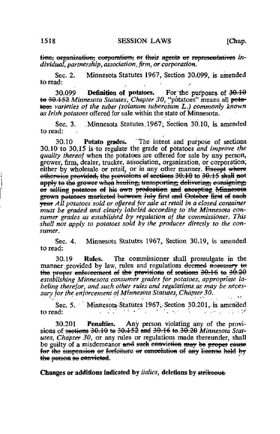tion, organization, corporation, or their agents or representatives individual, partnership, association, firm, or corporation.

Minnesota Statutes 1967, Section 30.099, is amended Sec. 2. to read:

**Definition of potatoes.** For the purposes of 30.10 30.099 to 30.152 Minnesota Statutes, Chapter 30, "potatoes" means all peta-<br>toes varieties of the tuber (solanum tuberosum L.) commonly known as Irish potatoes offered for sale within the state of Minnesota.

Sec. 3. Minnesota Statutes 1967; Section 30.10, is amended to read:

Potato grades. The intent and purpose of sections 30.10 30.10 to 30.15 is to regulate the grade of potatoes and improve the quality thereof when the potatoes are offered for sale by any person, grower, firm, dealer, trucker, association, organization, or corporation, either by wholesale or retail, or in any other manner. Exercit where  $\theta$  otherwise provided, the provisions of sections 30.10 to 30.15 shall not apply to the grower when hauling, transporting, delivering, esnsigning, or selling potatoes of his ewn production and excepting Minnesota grown potatoes marketed between July first and October first of each year All potatoes sold or offered for sale at retail in a closed container must be graded and clearly labeled according to the Minnesota consumer grades as established by regulation of the commissioner. This shall not apply to potatoes sold by the producer directly to the consumer.

Minnesota Statutes 1967, Section 30.19, is amended Sec.  $4.$ to read:

The commissioner shall promulgate in the 30.19 **Rules.** manner provided by law, rules and regulations deemed necessary to the proper enforcement of the provisions of scetions  $30.16$  to  $30.20$ establishing Minnesota consumer grades for potatoes, appropriate labeling therefor, and such other rules and regulations as may be necessary for the enforcement of Minnesota Statutes, Chapter 30.

Sec. 5. Minnesota Statutes 1967, Section 30.201, is amended  $\mathcal{L}^{\text{max}}$ to read: **Contractor Committee** 

Penalties. Any person violating any of the provi-30.201 sions of <del>sections 30.10 to 30.152 and 30.16 to 30.20</del> Minnesota Statutes, Chapter 30, or any rules or regulations made thereunder, shall be guilty of a misdemeanor and such conviction may be proper cause for the suspension or fortciture or cancelation of any license held by the person se convicted.

Changes or additions indicated by *italics*, deletions by strikeout.